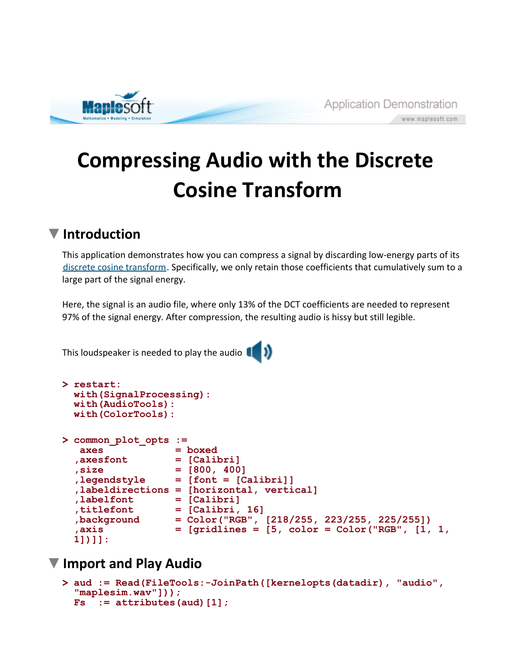

# **Compressing Audio with the Discrete Cosine Transform**

## **Introduction**

This application demonstrates how you can compress a signal by discarding low-energy parts of its discrete cosine transform. Specifically, we only retain those coefficients that cumulatively sum to a large part of the signal energy.

Here, the signal is an audio file, where only 13% of the DCT coefficients are needed to represent 97% of the signal energy. After compression, the resulting audio is hissy but still legible.

This loudspeaker is needed to play the audio  $\begin{pmatrix} 0 & 1 \end{pmatrix}$ 

```
> 
restart:
> 
common_plot_opts := 
 with(SignalProcessing):
 with(AudioTools):
 with(ColorTools):
  axes = boxed
 ,axesfont = [Calibri]
 ,size = [800, 400]
 ,legendstyle = [font = [Calibri]]
  ,labeldirections = [horizontal, vertical]
 ,labelfont = [Calibri]
 titlefont = [Calibri, 16]<br>,background = Color("RGB",
                ,background = Color("RGB", [218/255, 223/255, 225/255])
 ,axis = [gridlines = [5, color = Color("RGB", [1, 1, 
 1])]]:
```
### **Import and Play Audio**

```
> 
aud := Read(FileTools:-JoinPath([kernelopts(datadir), "audio", 
 "maplesim.wav"]));
 Fs := attributes(aud)[1];
```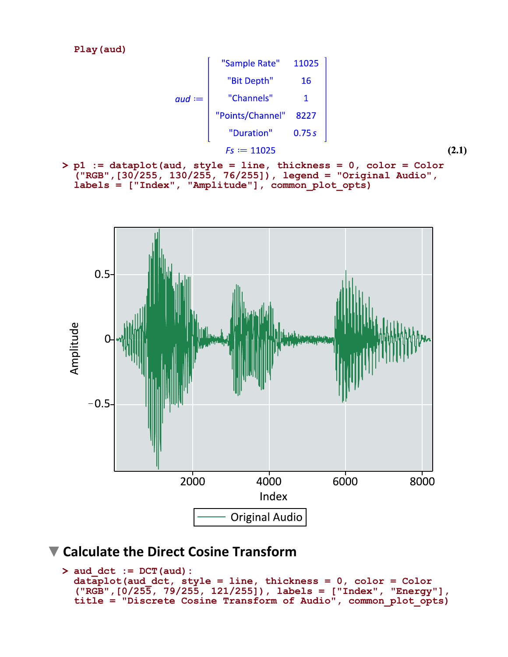**Play(aud)**



**> p1 := dataplot(aud, style = line, thickness = 0, color = Color ("RGB",[30/255, 130/255, 76/255]), legend = "Original Audio", labels = ["Index", "Amplitude"], common\_plot\_opts)**



#### **Calculate the Direct Cosine Transform**

```
> 
aud_dct := DCT(aud):
 dataplot(aud_dct, style = line, thickness = 0, color = Color
  ("RGB",[0/255, 79/255, 121/255]), labels = ["Index", "Energy"], 
 title = "Discrete Cosine Transform of Audio", common_plot_opts)
```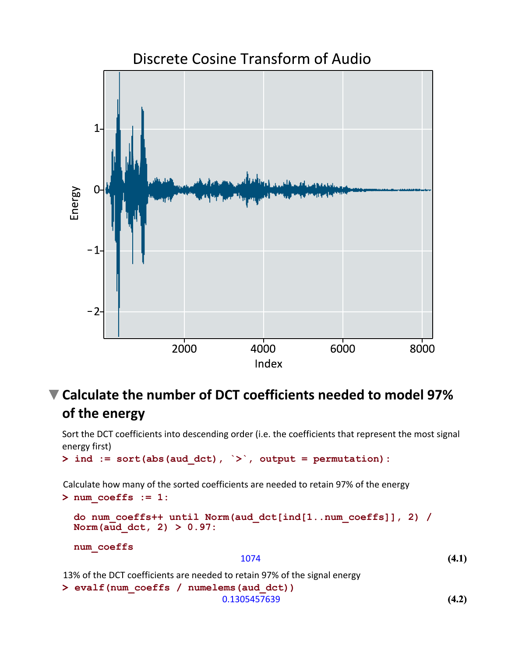

# **Calculate the number of DCT coefficients needed to model 97% of the energy**

Sort the DCT coefficients into descending order (i.e. the coefficients that represent the most signal energy first)

```
> 
ind := sort(abs(aud_dct), `>`, output = permutation):
```
Calculate how many of the sorted coefficients are needed to retain 97% of the energy

**(4.2) > num\_coeffs := 1: > evalf(num\_coeffs / numelems(aud\_dct)) (4.1) do num\_coeffs++ until Norm(aud\_dct[ind[1..num\_coeffs]], 2) / Norm(aud\_dct, 2) > 0.97: num\_coeffs** 1074 13% of the DCT coefficients are needed to retain 97% of the signal energy 0.1305457639